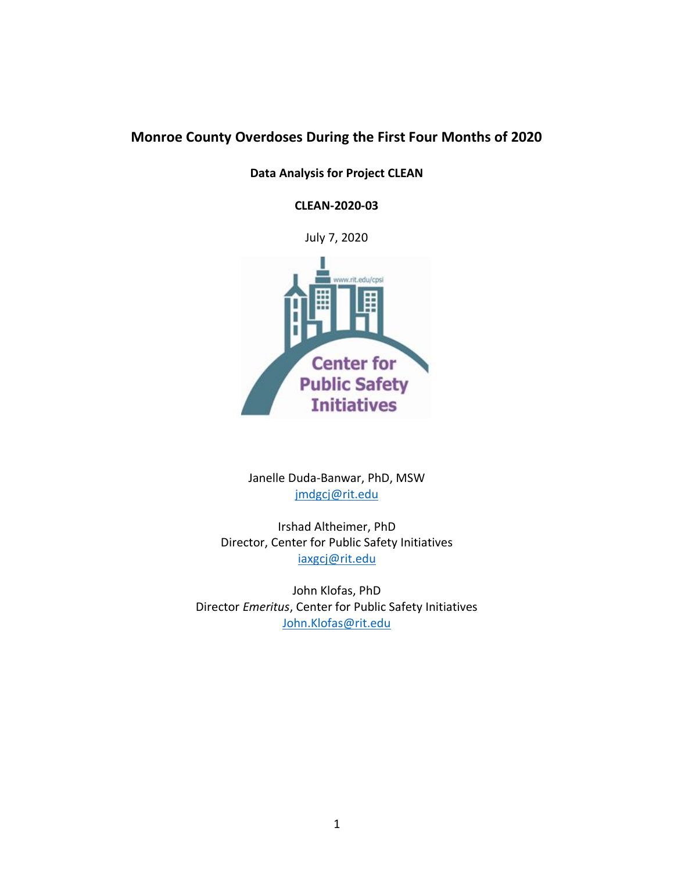# **Monroe County Overdoses During the First Four Months of 2020**

**Data Analysis for Project CLEAN**

**CLEAN-2020-03**

July 7, 2020



Janelle Duda-Banwar, PhD, MSW [jmdgcj@rit.edu](mailto:jmdgcj@rit.edu)

Irshad Altheimer, PhD Director, Center for Public Safety Initiatives [iaxgcj@rit.edu](mailto:iaxgcj@rit.edu)

John Klofas, PhD Director *Emeritus*, Center for Public Safety Initiatives [John.Klofas@rit.edu](mailto:John.Klofas@rit.edu)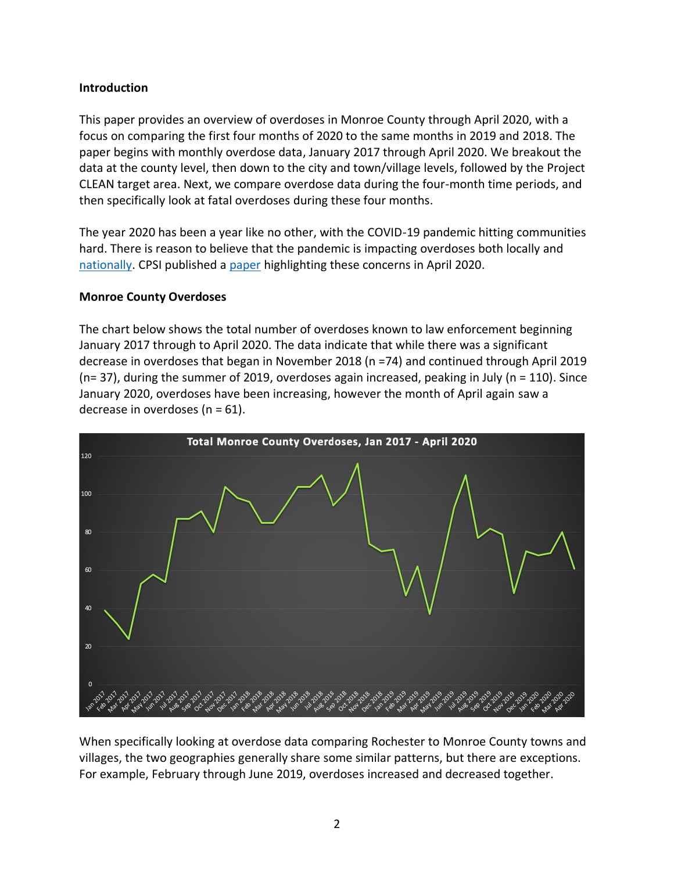## **Introduction**

This paper provides an overview of overdoses in Monroe County through April 2020, with a focus on comparing the first four months of 2020 to the same months in 2019 and 2018. The paper begins with monthly overdose data, January 2017 through April 2020. We breakout the data at the county level, then down to the city and town/village levels, followed by the Project CLEAN target area. Next, we compare overdose data during the four-month time periods, and then specifically look at fatal overdoses during these four months.

The year 2020 has been a year like no other, with the COVID-19 pandemic hitting communities hard. There is reason to believe that the pandemic is impacting overdoses both locally and [nationally.](https://www.washingtonpost.com/health/2020/07/01/coronavirus-drug-overdose/) CPSI published a [paper](https://www.rit.edu/liberalarts/sites/rit.edu.liberalarts/files/docs/CRIM%20Resources/COVID-19%20Pandemic%20and%20the%20Opioid%20Epidemic%20_WP%202020_03.pdf) highlighting these concerns in April 2020.

## **Monroe County Overdoses**

The chart below shows the total number of overdoses known to law enforcement beginning January 2017 through to April 2020. The data indicate that while there was a significant decrease in overdoses that began in November 2018 (n =74) and continued through April 2019 ( $n= 37$ ), during the summer of 2019, overdoses again increased, peaking in July ( $n = 110$ ). Since January 2020, overdoses have been increasing, however the month of April again saw a decrease in overdoses (n = 61).



When specifically looking at overdose data comparing Rochester to Monroe County towns and villages, the two geographies generally share some similar patterns, but there are exceptions. For example, February through June 2019, overdoses increased and decreased together.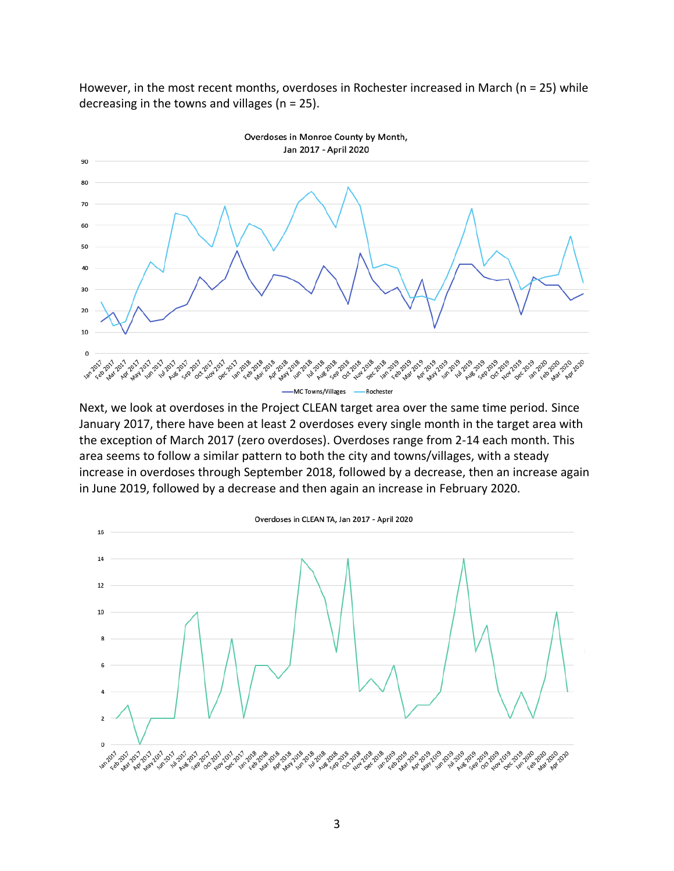However, in the most recent months, overdoses in Rochester increased in March (n = 25) while decreasing in the towns and villages ( $n = 25$ ).



Next, we look at overdoses in the Project CLEAN target area over the same time period. Since January 2017, there have been at least 2 overdoses every single month in the target area with the exception of March 2017 (zero overdoses). Overdoses range from 2-14 each month. This area seems to follow a similar pattern to both the city and towns/villages, with a steady increase in overdoses through September 2018, followed by a decrease, then an increase again in June 2019, followed by a decrease and then again an increase in February 2020.

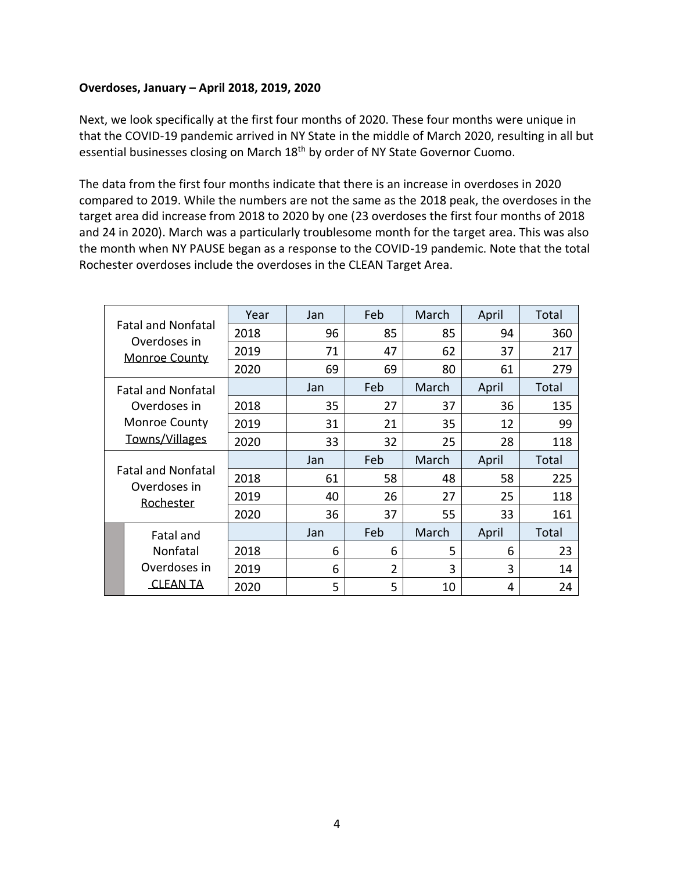### **Overdoses, January – April 2018, 2019, 2020**

Next, we look specifically at the first four months of 2020. These four months were unique in that the COVID-19 pandemic arrived in NY State in the middle of March 2020, resulting in all but essential businesses closing on March 18<sup>th</sup> by order of NY State Governor Cuomo.

The data from the first four months indicate that there is an increase in overdoses in 2020 compared to 2019. While the numbers are not the same as the 2018 peak, the overdoses in the target area did increase from 2018 to 2020 by one (23 overdoses the first four months of 2018 and 24 in 2020). March was a particularly troublesome month for the target area. This was also the month when NY PAUSE began as a response to the COVID-19 pandemic. Note that the total Rochester overdoses include the overdoses in the CLEAN Target Area.

|                                           | <b>Fatal and Nonfatal</b>              | Year | Jan | Feb            | March | April | Total |
|-------------------------------------------|----------------------------------------|------|-----|----------------|-------|-------|-------|
|                                           |                                        | 2018 | 96  | 85             | 85    | 94    | 360   |
| Overdoses in<br><b>Monroe County</b>      | 2019                                   | 71   | 47  | 62             | 37    | 217   |       |
|                                           |                                        | 2020 | 69  | 69             | 80    | 61    | 279   |
| <b>Fatal and Nonfatal</b><br>Overdoses in |                                        |      | Jan | Feb            | March | April | Total |
|                                           |                                        | 2018 | 35  | 27             | 37    | 36    | 135   |
|                                           | <b>Monroe County</b><br>Towns/Villages | 2019 | 31  | 21             | 35    | 12    | 99    |
|                                           |                                        | 2020 | 33  | 32             | 25    | 28    | 118   |
|                                           |                                        |      |     |                |       |       |       |
|                                           |                                        |      | Jan | Feb            | March | April | Total |
|                                           | <b>Fatal and Nonfatal</b>              | 2018 | 61  | 58             | 48    | 58    | 225   |
|                                           | Overdoses in                           | 2019 | 40  | 26             | 27    | 25    | 118   |
|                                           | Rochester                              | 2020 | 36  | 37             | 55    | 33    | 161   |
|                                           | <b>Fatal and</b>                       |      | Jan | Feb            | March | April | Total |
|                                           | Nonfatal                               | 2018 | 6   | 6              | 5     | 6     | 23    |
|                                           | Overdoses in                           | 2019 | 6   | $\overline{2}$ | 3     | 3     | 14    |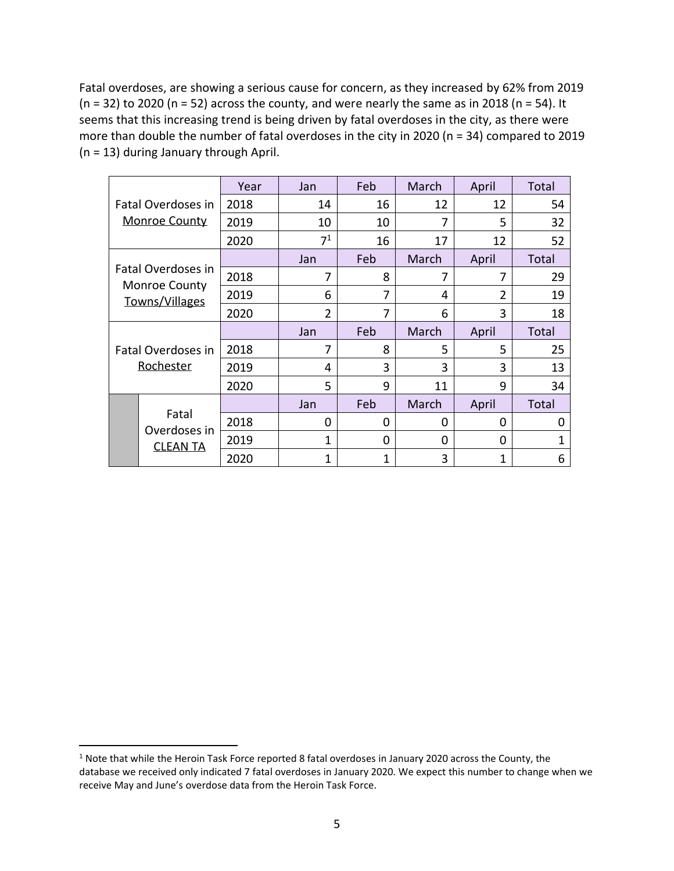Fatal overdoses, are showing a serious cause for concern, as they increased by 62% from 2019  $(n = 32)$  to 2020  $(n = 52)$  across the county, and were nearly the same as in 2018  $(n = 54)$ . It seems that this increasing trend is being driven by fatal overdoses in the city, as there were more than double the number of fatal overdoses in the city in 2020 (n = 34) compared to 2019 (n = 13) during January through April.

|                                                              |                                 | Year | Jan            | Feb      | March | April          | Total |
|--------------------------------------------------------------|---------------------------------|------|----------------|----------|-------|----------------|-------|
|                                                              | Fatal Overdoses in              | 2018 | 14             | 16       | 12    | 12             | 54    |
|                                                              | <b>Monroe County</b>            | 2019 | 10             | 10       | 7     | 5              | 32    |
|                                                              |                                 | 2020 | 7 <sup>1</sup> | 16       | 17    | 12             | 52    |
|                                                              |                                 |      | Jan            | Feb      | March | April          | Total |
| Fatal Overdoses in<br><b>Monroe County</b><br>Towns/Villages |                                 | 2018 | 7              | 8        | 7     | 7              | 29    |
|                                                              |                                 | 2019 | 6              | 7        | 4     | $\overline{2}$ | 19    |
|                                                              |                                 | 2020 | $\overline{2}$ | 7        | 6     | 3              | 18    |
| Fatal Overdoses in<br>Rochester                              |                                 |      | Jan            | Feb      | March | April          | Total |
|                                                              |                                 | 2018 | 7              | 8        | 5     | 5              | 25    |
|                                                              |                                 | 2019 | 4              | 3        | 3     | 3              | 13    |
|                                                              |                                 | 2020 | 5              | 9        | 11    | 9              | 34    |
|                                                              |                                 |      | Jan            | Feb      | March | April          | Total |
|                                                              | Fatal                           |      |                |          |       |                |       |
|                                                              |                                 | 2018 | $\Omega$       | 0        | 0     | 0              | 0     |
|                                                              | Overdoses in<br><b>CLEAN TA</b> | 2019 | 1              | $\Omega$ | 0     | 0              | 1     |

 $1$  Note that while the Heroin Task Force reported 8 fatal overdoses in January 2020 across the County, the database we received only indicated 7 fatal overdoses in January 2020. We expect this number to change when we receive May and June's overdose data from the Heroin Task Force.